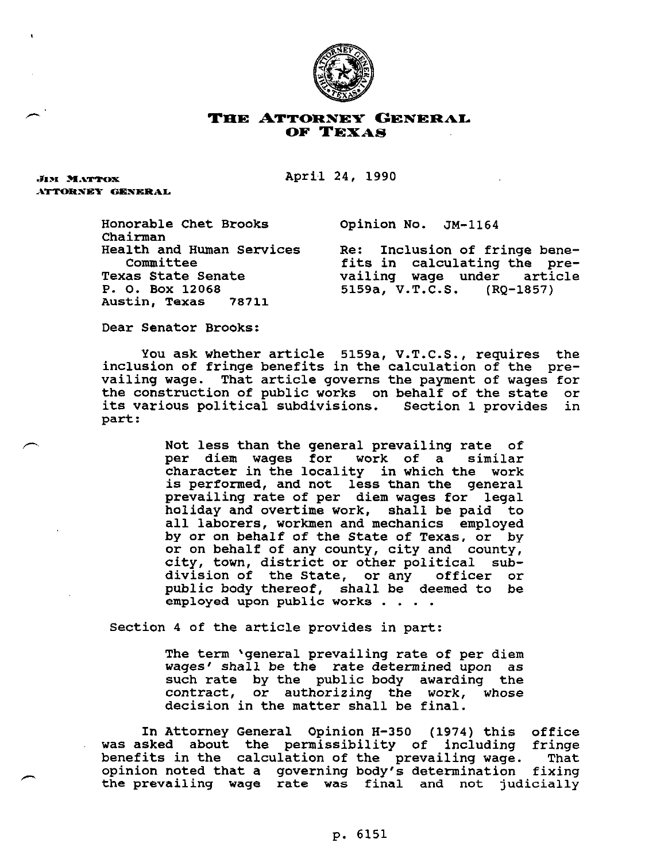

## **THE ATTORNEY GENERAL OF TEXAS**

April 24, 1990

**JIM MATTOX** ATTORNEY GENERAL

**Honorable Chet Brooks Opinion No. JM-1164** 

**Chairman P. 0. Box 12068 5159a, V.T.C.S. (RQ-1857)**  Austin, **Texas** 

lth and Human Services Re: Inclusion of fringe bene-<br>Committee **committee** fits in calculating the pre-**Committee fits in calculating the pre-Texas State Senate vailing wage under article** 

**Dear Senator Brooks:** 

**You ask whether article 5159a, V.T.C.S., requires the inclusion of fringe benefits in the calculation of the prevailing wage. That article governs the payment of wages for the construction of public works on behalf of the state or its various political subdivisions. Section 1 provides in part:** 

> **Not less than the general prevailing rate of**  per diem wages for work of a **character in the locality in which the work is performed, and not less than the general prevailing rate of per diem wages for legal holiday and overtime work, shall be paid to all laborers, workmen and mechanics employed by or on behalf of the State of Texas, or by or on behalf of any county, city and county, city, town, district or other political subdivision of the State, or any officer or public body thereof, shall be deemed to be employed upon public works . . . .**

**Section 4 of the article provides in part:** 

**The term 'general prevailing rate of per diem wages1 shall be the rate determined upon as such rate by the public body awarding the contract, or authorizing the work, whose decision in the matter shall be final.** 

**In Attorney General Opinion H-350 (1974) this office was asked about the permissibility of including fringe benefits in the calculation of the prevailing wage. That opinion noted that a governing body's determination fixing the prevailing wage rate was final and not judicially**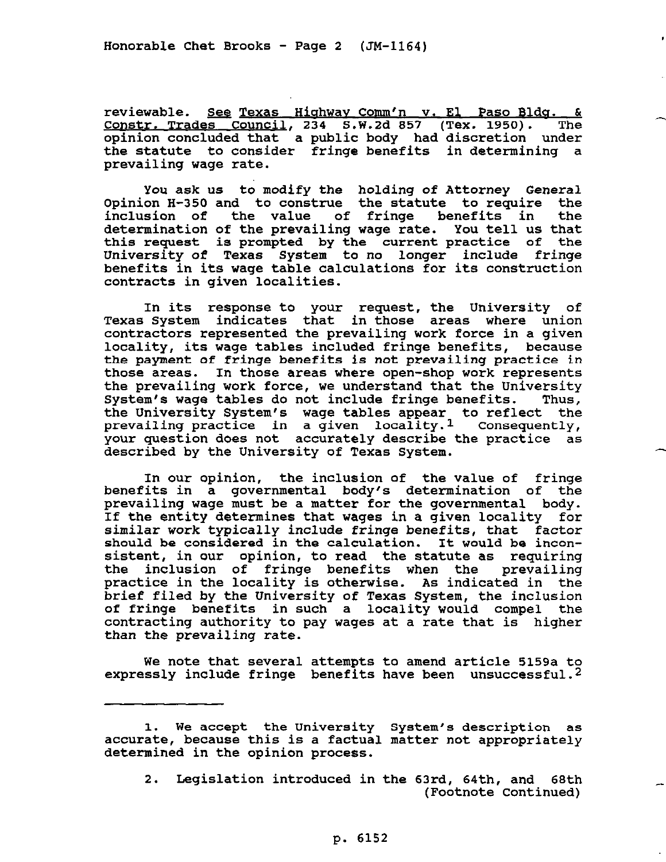**reviewable. See Texas Hiahwav Comm'n v. El Paso Blda. & -1 cost . 234 S.W.2d 857 (Tex. 1950). The opinion concluded that 'a public body had discretion under the statute to consider fringe benefits in determining a prevailing wage rate.** 

**You ask us to modify the holding of Attorney General Opinion H-350 and to construe the statute to require the inclusion of the value of fringe benefits in the determination of the prevailing wage rate. you tell us that this request is prompted by the current practice of the University of Texas System to no longer include fringe benefits in its wage table calculations for its construction contracts in given localities.** 

**In its response to your request, the University of Texas** System **indicates that in those areas where union contractors represented the prevailing work force in a given locality, its wage tables included fringe benefits, because the payment of fringe benefits is not prevailing practice in those areas. In those areas where open-shop work represents the prevailing work force, we understand that the University System's wage tables do not include fringe benefits. Thus, the University** System's **wage tables appear to reflect the prevailing practice in a given locality.1 Consequently, your question does not accurately describe the practice as described by the University of Texas System.** 

**In our opinion, the inclusion of the value of fringe benefits in a governmental body's determination of the prevailing wage must be a matter for the governmental body. If the entity determines that wages in a given locality for**  similar **work** typically **include fringe benefits, that factor should be considered in the calculation. It would be inconsistent, in our opinion, to read the statute as requiring the inclusion of fringe benefits when the prevailing practice in the locality is otherwise. As indicated in the brief filed by the University of Texas System, the inclusion of fringe benefits in such a locality would compel the contracting authority to pay wages at a rate that is higher than the prevailing rate.** 

**We note that several attempts to amend article 5159a to expressly include fringe benefits have been unsuccessful.2** 

**2. Legislation introduced in the 63rd, 64th, and 68th (Footnote Continued)** 

<sup>1.</sup> **We accept the University System's description as accurate, because this is a factual matter not appropriately determined in the opinion process.**